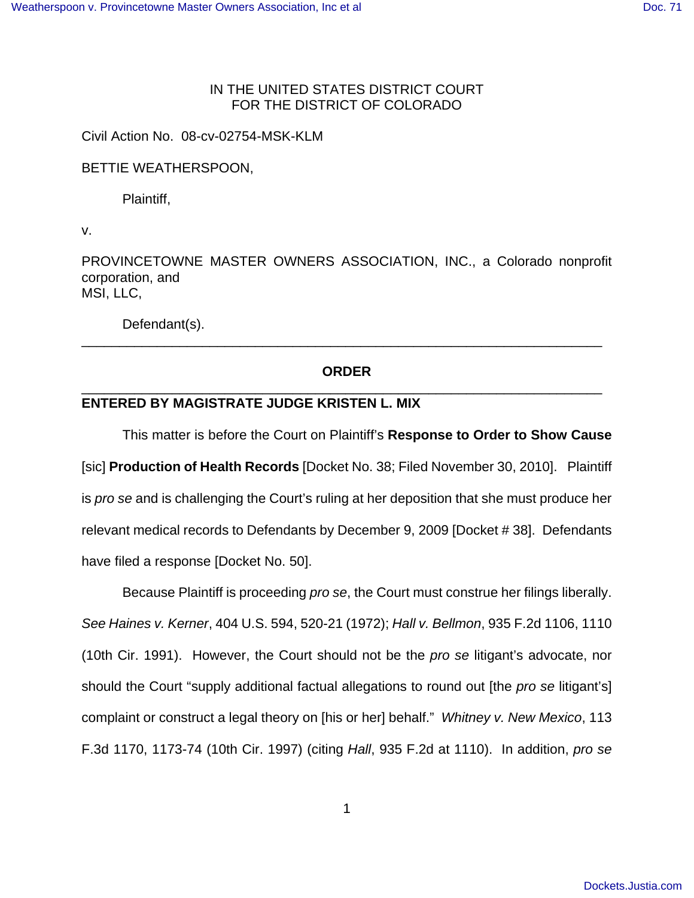## IN THE UNITED STATES DISTRICT COURT FOR THE DISTRICT OF COLORADO

Civil Action No. 08-cv-02754-MSK-KLM

BETTIE WEATHERSPOON,

Plaintiff,

v.

PROVINCETOWNE MASTER OWNERS ASSOCIATION, INC., a Colorado nonprofit corporation, and MSI, LLC,

Defendant(s).

# **ORDER** \_\_\_\_\_\_\_\_\_\_\_\_\_\_\_\_\_\_\_\_\_\_\_\_\_\_\_\_\_\_\_\_\_\_\_\_\_\_\_\_\_\_\_\_\_\_\_\_\_\_\_\_\_\_\_\_\_\_\_\_\_\_\_\_\_\_\_\_\_

\_\_\_\_\_\_\_\_\_\_\_\_\_\_\_\_\_\_\_\_\_\_\_\_\_\_\_\_\_\_\_\_\_\_\_\_\_\_\_\_\_\_\_\_\_\_\_\_\_\_\_\_\_\_\_\_\_\_\_\_\_\_\_\_\_\_\_\_\_

## **ENTERED BY MAGISTRATE JUDGE KRISTEN L. MIX**

This matter is before the Court on Plaintiff's **Response to Order to Show Cause** [sic] **Production of Health Records** [Docket No. 38; Filed November 30, 2010]. Plaintiff is pro se and is challenging the Court's ruling at her deposition that she must produce her relevant medical records to Defendants by December 9, 2009 [Docket # 38]. Defendants have filed a response [Docket No. 50].

Because Plaintiff is proceeding pro se, the Court must construe her filings liberally. See Haines v. Kerner, 404 U.S. 594, 520-21 (1972); Hall v. Bellmon, 935 F.2d 1106, 1110 (10th Cir. 1991). However, the Court should not be the pro se litigant's advocate, nor should the Court "supply additional factual allegations to round out [the *pro se* litigant's] complaint or construct a legal theory on [his or her] behalf." Whitney v. New Mexico, 113 F.3d 1170, 1173-74 (10th Cir. 1997) (citing Hall, 935 F.2d at 1110). In addition, pro se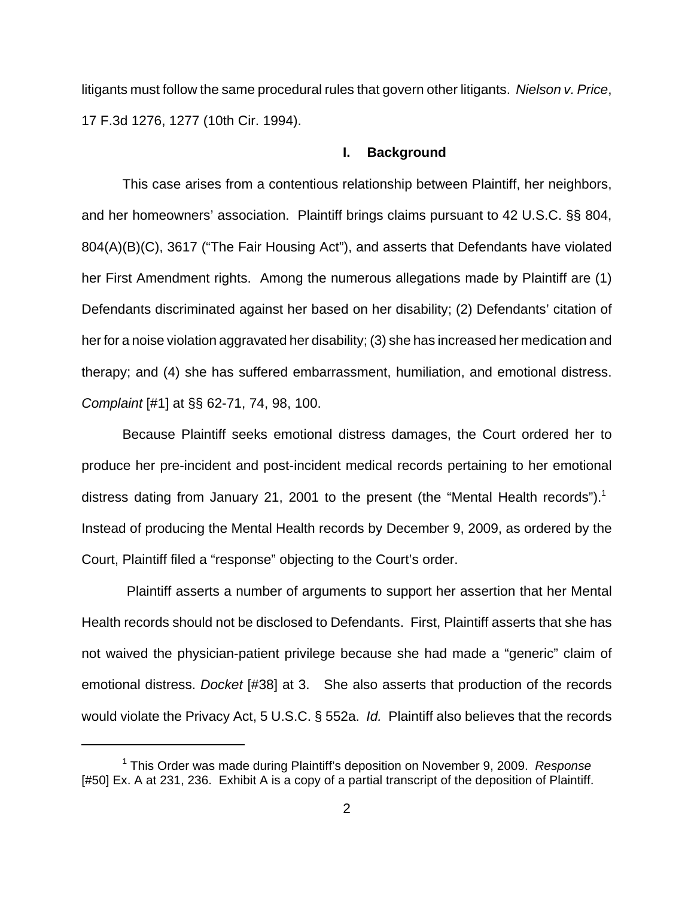litigants must follow the same procedural rules that govern other litigants. Nielson v. Price, 17 F.3d 1276, 1277 (10th Cir. 1994).

### **I. Background**

This case arises from a contentious relationship between Plaintiff, her neighbors, and her homeowners' association. Plaintiff brings claims pursuant to 42 U.S.C. §§ 804, 804(A)(B)(C), 3617 ("The Fair Housing Act"), and asserts that Defendants have violated her First Amendment rights. Among the numerous allegations made by Plaintiff are (1) Defendants discriminated against her based on her disability; (2) Defendants' citation of her for a noise violation aggravated her disability; (3) she has increased her medication and therapy; and (4) she has suffered embarrassment, humiliation, and emotional distress. Complaint [#1] at §§ 62-71, 74, 98, 100.

Because Plaintiff seeks emotional distress damages, the Court ordered her to produce her pre-incident and post-incident medical records pertaining to her emotional distress dating from January 21, 2001 to the present (the "Mental Health records").<sup>1</sup> Instead of producing the Mental Health records by December 9, 2009, as ordered by the Court, Plaintiff filed a "response" objecting to the Court's order.

 Plaintiff asserts a number of arguments to support her assertion that her Mental Health records should not be disclosed to Defendants. First, Plaintiff asserts that she has not waived the physician-patient privilege because she had made a "generic" claim of emotional distress. Docket [#38] at 3. She also asserts that production of the records would violate the Privacy Act, 5 U.S.C. § 552a. Id. Plaintiff also believes that the records

<sup>&</sup>lt;sup>1</sup> This Order was made during Plaintiff's deposition on November 9, 2009. Response [#50] Ex. A at 231, 236. Exhibit A is a copy of a partial transcript of the deposition of Plaintiff.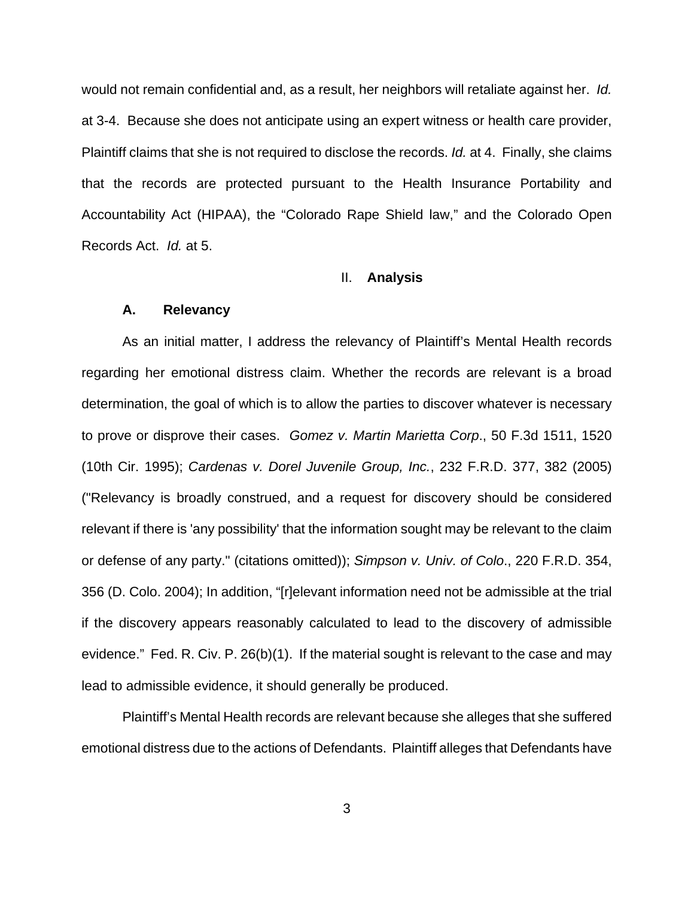would not remain confidential and, as a result, her neighbors will retaliate against her. Id. at 3-4. Because she does not anticipate using an expert witness or health care provider, Plaintiff claims that she is not required to disclose the records. Id. at 4. Finally, she claims that the records are protected pursuant to the Health Insurance Portability and Accountability Act (HIPAA), the "Colorado Rape Shield law," and the Colorado Open Records Act. Id. at 5.

#### II. **Analysis**

#### **A. Relevancy**

As an initial matter, I address the relevancy of Plaintiff's Mental Health records regarding her emotional distress claim. Whether the records are relevant is a broad determination, the goal of which is to allow the parties to discover whatever is necessary to prove or disprove their cases. Gomez v. Martin Marietta Corp., 50 F.3d 1511, 1520 (10th Cir. 1995); Cardenas v. Dorel Juvenile Group, Inc., 232 F.R.D. 377, 382 (2005) ("Relevancy is broadly construed, and a request for discovery should be considered relevant if there is 'any possibility' that the information sought may be relevant to the claim or defense of any party." (citations omitted)); Simpson v. Univ. of Colo., 220 F.R.D. 354, 356 (D. Colo. 2004); In addition, "[r]elevant information need not be admissible at the trial if the discovery appears reasonably calculated to lead to the discovery of admissible evidence." Fed. R. Civ. P. 26(b)(1). If the material sought is relevant to the case and may lead to admissible evidence, it should generally be produced.

Plaintiff's Mental Health records are relevant because she alleges that she suffered emotional distress due to the actions of Defendants. Plaintiff alleges that Defendants have

3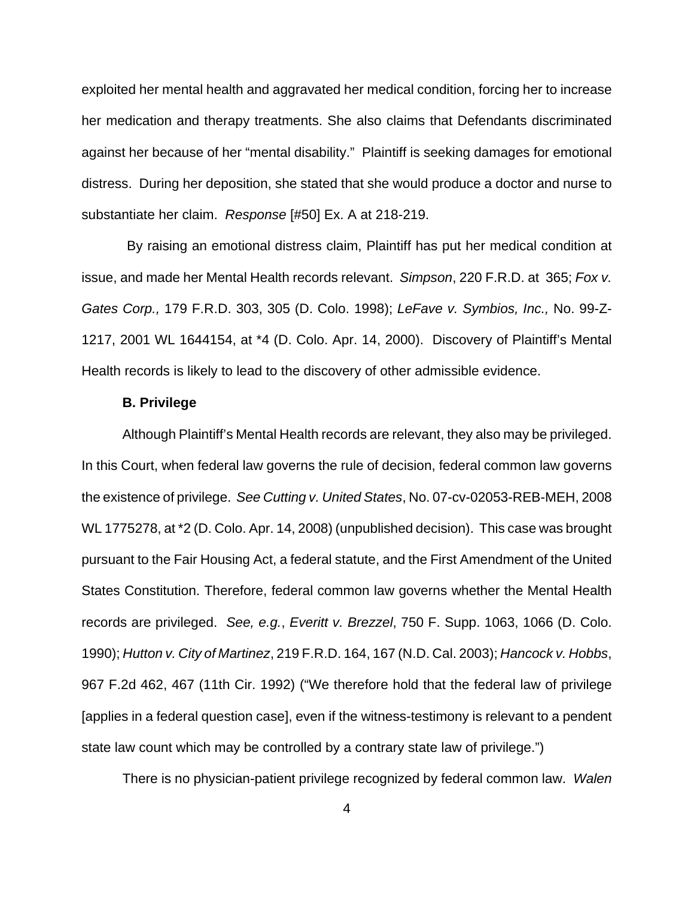exploited her mental health and aggravated her medical condition, forcing her to increase her medication and therapy treatments. She also claims that Defendants discriminated against her because of her "mental disability." Plaintiff is seeking damages for emotional distress. During her deposition, she stated that she would produce a doctor and nurse to substantiate her claim. Response [#50] Ex. A at 218-219.

 By raising an emotional distress claim, Plaintiff has put her medical condition at issue, and made her Mental Health records relevant. Simpson, 220 F.R.D. at 365; Fox v. Gates Corp., 179 F.R.D. 303, 305 (D. Colo. 1998); LeFave v. Symbios, Inc., No. 99-Z-1217, 2001 WL 1644154, at \*4 (D. Colo. Apr. 14, 2000). Discovery of Plaintiff's Mental Health records is likely to lead to the discovery of other admissible evidence.

#### **B. Privilege**

Although Plaintiff's Mental Health records are relevant, they also may be privileged. In this Court, when federal law governs the rule of decision, federal common law governs the existence of privilege. See Cutting v. United States, No. 07-cv-02053-REB-MEH, 2008 WL 1775278, at \*2 (D. Colo. Apr. 14, 2008) (unpublished decision). This case was brought pursuant to the Fair Housing Act, a federal statute, and the First Amendment of the United States Constitution. Therefore, federal common law governs whether the Mental Health records are privileged. See, e.g., Everitt v. Brezzel, 750 F. Supp. 1063, 1066 (D. Colo. 1990); Hutton v. City of Martinez, 219 F.R.D. 164, 167 (N.D. Cal. 2003); Hancock v. Hobbs, 967 F.2d 462, 467 (11th Cir. 1992) ("We therefore hold that the federal law of privilege [applies in a federal question case], even if the witness-testimony is relevant to a pendent state law count which may be controlled by a contrary state law of privilege.")

There is no physician-patient privilege recognized by federal common law. Walen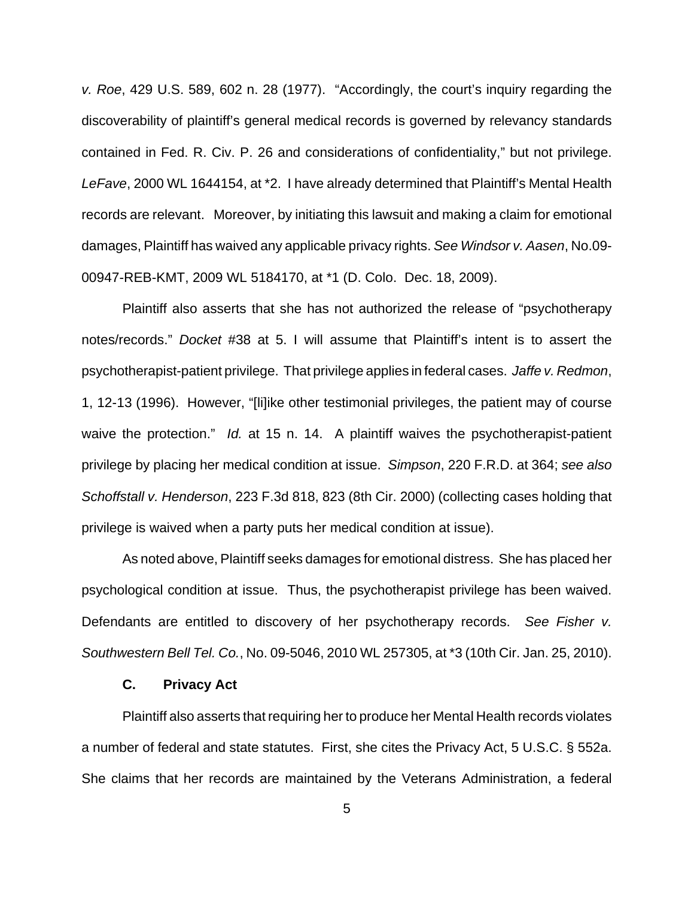v. Roe, 429 U.S. 589, 602 n. 28 (1977). "Accordingly, the court's inquiry regarding the discoverability of plaintiff's general medical records is governed by relevancy standards contained in Fed. R. Civ. P. 26 and considerations of confidentiality," but not privilege. LeFave, 2000 WL 1644154, at \*2. I have already determined that Plaintiff's Mental Health records are relevant. Moreover, by initiating this lawsuit and making a claim for emotional damages, Plaintiff has waived any applicable privacy rights. See Windsor v. Aasen, No.09- 00947-REB-KMT, 2009 WL 5184170, at \*1 (D. Colo. Dec. 18, 2009).

Plaintiff also asserts that she has not authorized the release of "psychotherapy notes/records." Docket #38 at 5. I will assume that Plaintiff's intent is to assert the psychotherapist-patient privilege. That privilege applies in federal cases. Jaffe v. Redmon, 1, 12-13 (1996). However, "[li]ike other testimonial privileges, the patient may of course waive the protection." Id. at 15 n. 14. A plaintiff waives the psychotherapist-patient privilege by placing her medical condition at issue. Simpson, 220 F.R.D. at 364; see also Schoffstall v. Henderson, 223 F.3d 818, 823 (8th Cir. 2000) (collecting cases holding that privilege is waived when a party puts her medical condition at issue).

As noted above, Plaintiff seeks damages for emotional distress. She has placed her psychological condition at issue. Thus, the psychotherapist privilege has been waived. Defendants are entitled to discovery of her psychotherapy records. See Fisher v. Southwestern Bell Tel. Co., No. 09-5046, 2010 WL 257305, at \*3 (10th Cir. Jan. 25, 2010).

#### **C. Privacy Act**

Plaintiff also asserts that requiring her to produce her Mental Health records violates a number of federal and state statutes. First, she cites the Privacy Act, 5 U.S.C. § 552a. She claims that her records are maintained by the Veterans Administration, a federal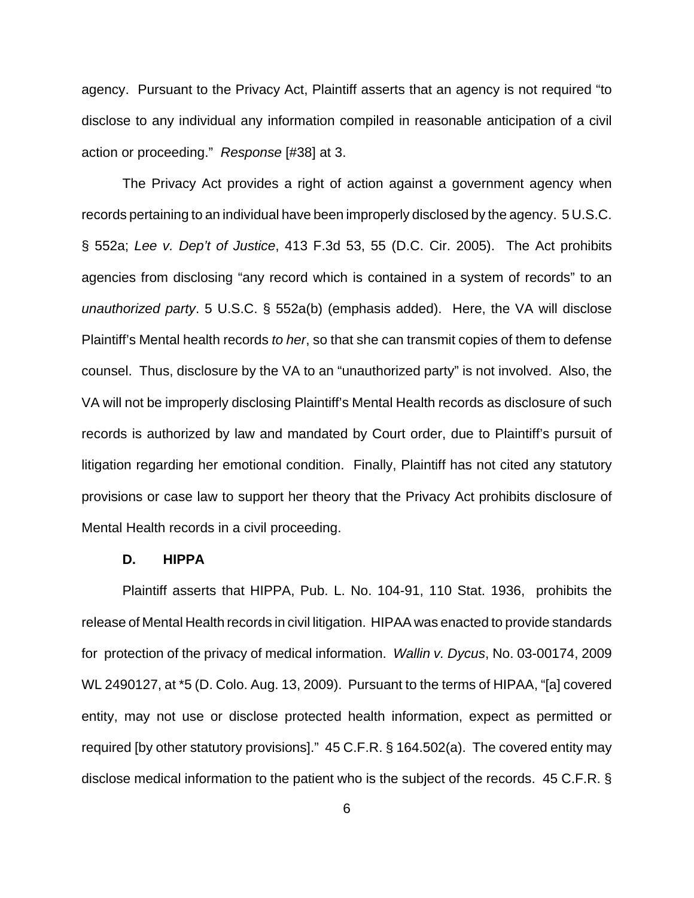agency. Pursuant to the Privacy Act, Plaintiff asserts that an agency is not required "to disclose to any individual any information compiled in reasonable anticipation of a civil action or proceeding." Response [#38] at 3.

The Privacy Act provides a right of action against a government agency when records pertaining to an individual have been improperly disclosed by the agency. 5 U.S.C. § 552a; Lee v. Dep't of Justice, 413 F.3d 53, 55 (D.C. Cir. 2005). The Act prohibits agencies from disclosing "any record which is contained in a system of records" to an unauthorized party. 5 U.S.C. § 552a(b) (emphasis added). Here, the VA will disclose Plaintiff's Mental health records to her, so that she can transmit copies of them to defense counsel. Thus, disclosure by the VA to an "unauthorized party" is not involved. Also, the VA will not be improperly disclosing Plaintiff's Mental Health records as disclosure of such records is authorized by law and mandated by Court order, due to Plaintiff's pursuit of litigation regarding her emotional condition. Finally, Plaintiff has not cited any statutory provisions or case law to support her theory that the Privacy Act prohibits disclosure of Mental Health records in a civil proceeding.

#### **D. HIPPA**

Plaintiff asserts that HIPPA, Pub. L. No. 104-91, 110 Stat. 1936, prohibits the release of Mental Health records in civil litigation. HIPAA was enacted to provide standards for protection of the privacy of medical information. Wallin v. Dycus, No. 03-00174, 2009 WL 2490127, at \*5 (D. Colo. Aug. 13, 2009). Pursuant to the terms of HIPAA, "[a] covered entity, may not use or disclose protected health information, expect as permitted or required [by other statutory provisions]." 45 C.F.R. § 164.502(a). The covered entity may disclose medical information to the patient who is the subject of the records. 45 C.F.R. §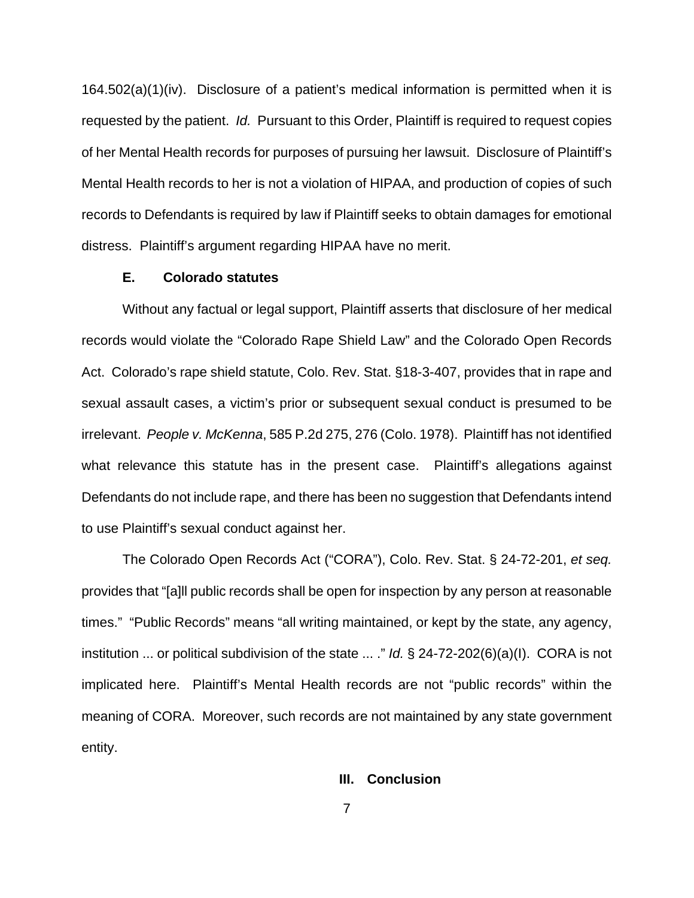164.502(a)(1)(iv). Disclosure of a patient's medical information is permitted when it is requested by the patient. Id. Pursuant to this Order, Plaintiff is required to request copies of her Mental Health records for purposes of pursuing her lawsuit. Disclosure of Plaintiff's Mental Health records to her is not a violation of HIPAA, and production of copies of such records to Defendants is required by law if Plaintiff seeks to obtain damages for emotional distress. Plaintiff's argument regarding HIPAA have no merit.

## **E. Colorado statutes**

Without any factual or legal support, Plaintiff asserts that disclosure of her medical records would violate the "Colorado Rape Shield Law" and the Colorado Open Records Act. Colorado's rape shield statute, Colo. Rev. Stat. §18-3-407, provides that in rape and sexual assault cases, a victim's prior or subsequent sexual conduct is presumed to be irrelevant. People v. McKenna, 585 P.2d 275, 276 (Colo. 1978). Plaintiff has not identified what relevance this statute has in the present case. Plaintiff's allegations against Defendants do not include rape, and there has been no suggestion that Defendants intend to use Plaintiff's sexual conduct against her.

The Colorado Open Records Act ("CORA"), Colo. Rev. Stat. § 24-72-201, et seq. provides that "[a]ll public records shall be open for inspection by any person at reasonable times." "Public Records" means "all writing maintained, or kept by the state, any agency, institution ... or political subdivision of the state ... ." Id.  $\S$  24-72-202(6)(a)(I). CORA is not implicated here. Plaintiff's Mental Health records are not "public records" within the meaning of CORA. Moreover, such records are not maintained by any state government entity.

## **III. Conclusion**

7